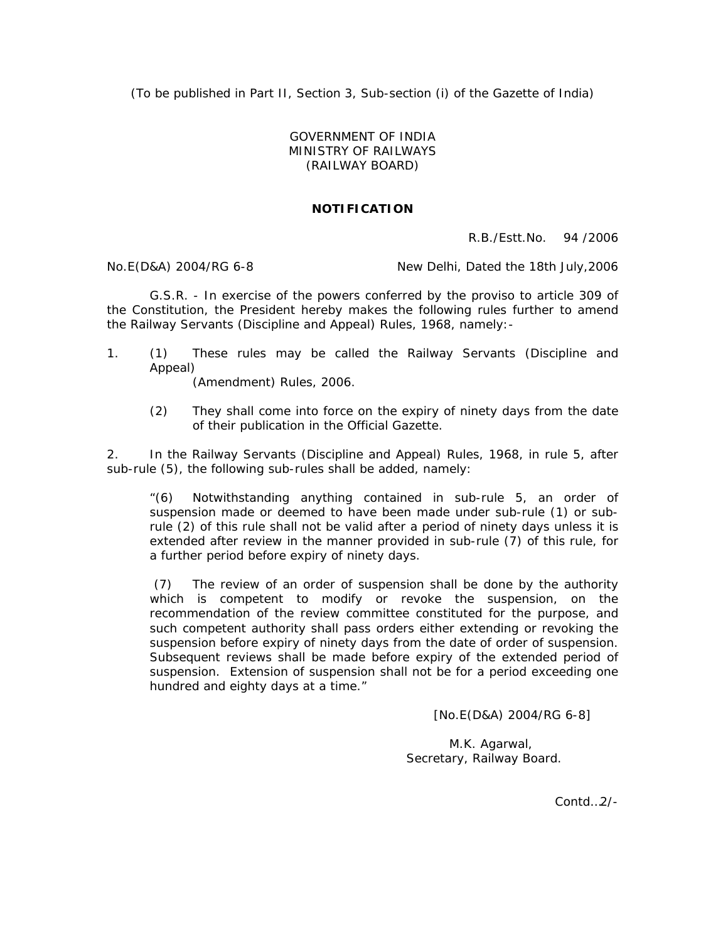(To be published in Part II, Section 3, Sub-section (i) of the Gazette of India)

## GOVERNMENT OF INDIA MINISTRY OF RAILWAYS (RAILWAY BOARD)

## **NOTIFICATION**

R.B./Estt.No. 94 /2006

No.E(D&A) 2004/RG 6-8 New Delhi, Dated the 18th July, 2006

G.S.R. - In exercise of the powers conferred by the proviso to article 309 of the Constitution, the President hereby makes the following rules further to amend the Railway Servants (Discipline and Appeal) Rules, 1968, namely:-

1. (1) These rules may be called the Railway Servants (Discipline and Appeal)

(Amendment) Rules, 2006.

(2) They shall come into force on the expiry of ninety days from the date of their publication in the Official Gazette.

2. In the Railway Servants (Discipline and Appeal) Rules, 1968, in rule 5, after sub-rule (5), the following sub-rules shall be added, namely:

"(6) Notwithstanding anything contained in sub-rule 5, an order of suspension made or deemed to have been made under sub-rule (1) or subrule (2) of this rule shall not be valid after a period of ninety days unless it is extended after review in the manner provided in sub-rule (7) of this rule, for a further period before expiry of ninety days.

 (7) The review of an order of suspension shall be done by the authority which is competent to modify or revoke the suspension, on the recommendation of the review committee constituted for the purpose, and such competent authority shall pass orders either extending or revoking the suspension before expiry of ninety days from the date of order of suspension. Subsequent reviews shall be made before expiry of the extended period of suspension. Extension of suspension shall not be for a period exceeding one hundred and eighty days at a time."

[No.E(D&A) 2004/RG 6-8]

M.K. Agarwal, Secretary, Railway Board.

Contd<sub>2/-</sub>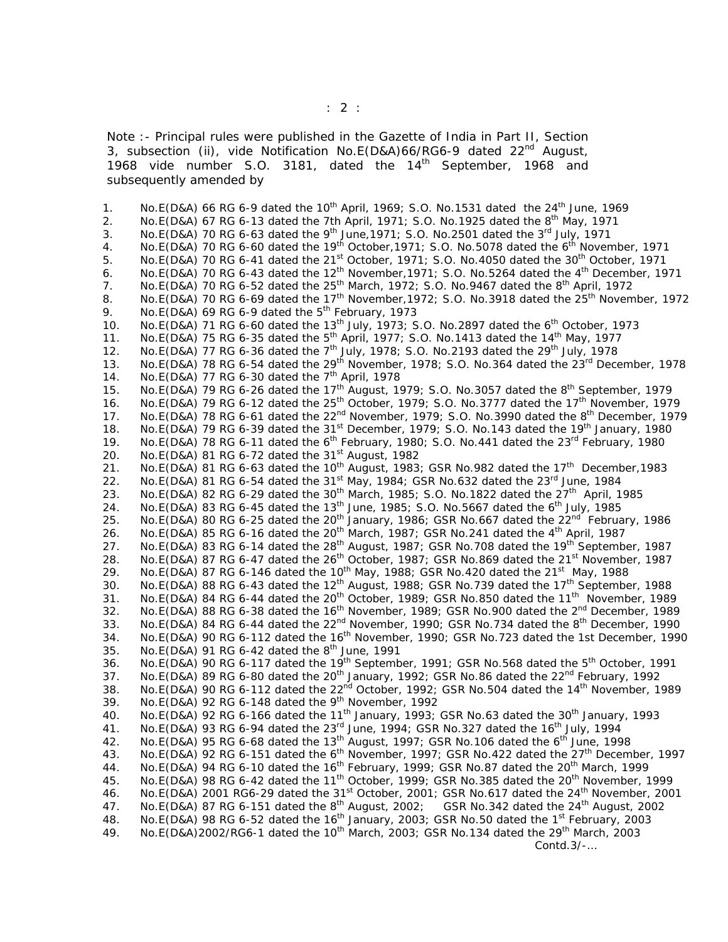Note :- Principal rules were published in the Gazette of India in Part II, Section 3, subsection (ii), vide Notification No.E(D&A)66/RG6-9 dated  $22<sup>nd</sup>$  August, 1968 vide number S.O. 3181, dated the 14<sup>th</sup> September, 1968 and subsequently amended by

1. No.E(D&A) 66 RG 6-9 dated the  $10^{th}$  April, 1969; S.O. No.1531 dated the 24<sup>th</sup> June, 1969 2. No. E(D&A) 67 RG 6-13 dated the 7th April, 1971; S.O. No. 1925 dated the  $8^{th}$  May, 1971 3. No.E(D&A) 70 RG 6-63 dated the 9<sup>th</sup> June, 1971; S.O. No.2501 dated the 3<sup>rd</sup> July, 1971 4. No.E(D&A) 70 RG 6-60 dated the 19<sup>th</sup> October, 1971; S.O. No.5078 dated the 6<sup>th</sup> November, 1971 5. No.E(D&A) 70 RG 6-41 dated the 21<sup>st</sup> October, 1971; S.O. No.4050 dated the 30<sup>th</sup> October, 1971 6. No.E(D&A) 70 RG 6-43 dated the 12<sup>th</sup> November, 1971; S.O. No.5264 dated the 4<sup>th</sup> December, 1971 7. No.E(D&A) 70 RG 6-52 dated the  $25<sup>th</sup>$  March, 1972; S.O. No.9467 dated the  $8<sup>th</sup>$  April, 1972 8. No.E(D&A) 70 RG 6-69 dated the 17<sup>th</sup> November, 1972; S.O. No.3918 dated the 25<sup>th</sup> November, 1972 9. No.E(D&A) 69 RG 6-9 dated the  $5<sup>th</sup>$  February, 1973 10. No. E(D&A) 71 RG 6-60 dated the 13<sup>th</sup> July, 1973; S.O. No. 2897 dated the 6<sup>th</sup> October, 1973 11. No.E(D&A) 75 RG 6-35 dated the 5<sup>th</sup> April, 1977; S.O. No.1413 dated the 14<sup>th</sup> May, 1977 12. No.E(D&A) 77 RG 6-36 dated the  $7<sup>th</sup>$  July, 1978; S.O. No.2193 dated the 29<sup>th</sup> July, 1978 13. No.E(D&A) 78 RG 6-54 dated the 29<sup>th</sup> November, 1978; S.O. No.364 dated the 23<sup>rd</sup> December, 1978 14. No.E(D&A) 77 RG 6-30 dated the  $7<sup>th</sup>$  April, 1978 15. No.E(D&A) 79 RG 6-26 dated the 17<sup>th</sup> August, 1979; S.O. No.3057 dated the 8<sup>th</sup> September, 1979 16. No.E(D&A) 79 RG 6-12 dated the 25<sup>th</sup> October, 1979; S.O. No.3777 dated the 17<sup>th</sup> November, 1979 17. No.E(D&A) 78 RG 6-61 dated the 22<sup>nd</sup> November, 1979; S.O. No.3990 dated the 8<sup>th</sup> December, 1979 18. No.E(D&A) 79 RG 6-39 dated the 31<sup>st</sup> December, 1979; S.O. No.143 dated the 19<sup>th</sup> January, 1980 19. No.E(D&A) 78 RG 6-11 dated the 6th February, 1980; S.O. No.441 dated the 23rd February, 1980 20. No.E(D&A) 81 RG 6-72 dated the  $31^{st}$  August, 1982 21. No.E(D&A) 81 RG 6-63 dated the 10<sup>th</sup> August, 1983; GSR No.982 dated the 17<sup>th</sup> December, 1983 22. No. E(D&A) 81 RG 6-54 dated the  $31^{st}$  May, 1984; GSR No.632 dated the  $23^{rd}$  June, 1984 23. No.E(D&A) 82 RG 6-29 dated the  $30^{th}$  March, 1985; S.O. No.1822 dated the  $27^{th}$  April, 1985 24. No.E(D&A) 83 RG 6-45 dated the 13<sup>th</sup> June, 1985; S.O. No.5667 dated the 6<sup>th</sup> July, 1985 25. No.E(D&A) 80 RG 6-25 dated the 20<sup>th</sup> January, 1986; GSR No.667 dated the 22<sup>nd</sup> February, 1986 26. No.E(D&A) 85 RG 6-16 dated the  $20^{th}$  March, 1987; GSR No.241 dated the 4<sup>th</sup> April, 1987 27. No.E(D&A) 83 RG 6-14 dated the 28<sup>th</sup> August, 1987; GSR No.708 dated the 19<sup>th</sup> September, 1987 28. No.E(D&A) 87 RG 6-47 dated the 26<sup>th</sup> October, 1987; GSR No.869 dated the 21<sup>st</sup> November, 1987 29. No.E(D&A) 87 RG 6-146 dated the 10<sup>th</sup> May, 1988; GSR No.420 dated the 21<sup>st</sup> May, 1988 30. No.E(D&A) 88 RG 6-43 dated the 12<sup>th</sup> August, 1988; GSR No.739 dated the 17<sup>th</sup> September, 1988 31. No.E(D&A) 84 RG 6-44 dated the 20<sup>th</sup> October, 1989; GSR No.850 dated the 11<sup>th</sup> November, 1989 32. No.E(D&A) 88 RG 6-38 dated the  $16<sup>th</sup>$  November, 1989; GSR No.900 dated the  $2<sup>nd</sup>$  December, 1989 33. No.E(D&A) 84 RG 6-44 dated the 22<sup>nd</sup> November, 1990; GSR No.734 dated the 8<sup>th</sup> December, 1990 34. No.E(D&A) 90 RG 6-112 dated the  $16<sup>th</sup>$  November, 1990; GSR No.723 dated the 1st December, 1990 35. No.E(D&A) 91 RG 6-42 dated the  $8^{th}$  June, 1991 36. No.E(D&A) 90 RG 6-117 dated the 19<sup>th</sup> September, 1991; GSR No.568 dated the 5<sup>th</sup> October, 1991 37. No.E(D&A) 89 RG 6-80 dated the 20<sup>th</sup> January, 1992; GSR No.86 dated the 22<sup>nd</sup> February, 1992 38. No.E(D&A) 90 RG 6-112 dated the 22<sup>nd</sup> October, 1992; GSR No.504 dated the 14<sup>th</sup> November, 1989 39. No.E(D&A) 92 RG 6-148 dated the  $9<sup>th</sup>$  November, 1992 40. No.E(D&A) 92 RG 6-166 dated the 11<sup>th</sup> January, 1993; GSR No.63 dated the 30<sup>th</sup> January, 1993 41. No.E(D&A) 93 RG 6-94 dated the 23rd June, 1994; GSR No.327 dated the 16th July, 1994 42. No.E(D&A) 95 RG 6-68 dated the 13<sup>th</sup> August, 1997; GSR No.106 dated the 6<sup>th</sup> June, 1998 43. No.E(D&A) 92 RG 6-151 dated the 6<sup>th</sup> November, 1997; GSR No.422 dated the 27<sup>th</sup> December, 1997 44. No.E(D&A) 94 RG 6-10 dated the 16<sup>th</sup> February, 1999; GSR No.87 dated the 20<sup>th</sup> March, 1999 45. No.E(D&A) 98 RG 6-42 dated the 11<sup>th</sup> October, 1999; GSR No.385 dated the 20<sup>th</sup> November, 1999 46. No.E(D&A) 2001 RG6-29 dated the 31<sup>st</sup> October, 2001; GSR No.617 dated the 24<sup>th</sup> November, 2001 47. No.E(D&A) 87 RG 6-151 dated the 8<sup>th</sup> August, 2002; GSR No.342 dated the 24<sup>th</sup> August, 2002 48. No.E(D&A) 98 RG 6-52 dated the 16<sup>th</sup> January, 2003; GSR No.50 dated the 1<sup>st</sup> February, 2003 49. No.E(D&A)2002/RG6-1 dated the 10<sup>th</sup> March, 2003; GSR No.134 dated the 29<sup>th</sup> March, 2003 Contd.3/-…